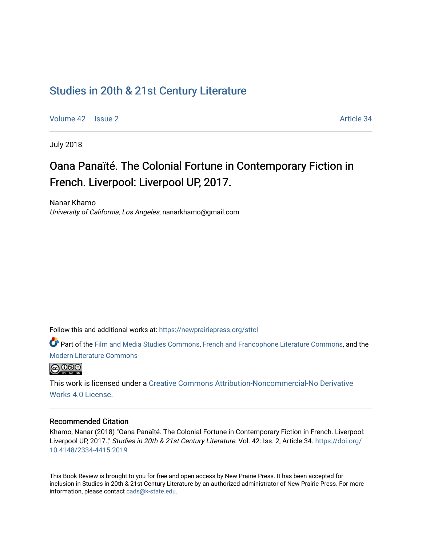## [Studies in 20th & 21st Century Literature](https://newprairiepress.org/sttcl)

[Volume 42](https://newprairiepress.org/sttcl/vol42) | [Issue 2](https://newprairiepress.org/sttcl/vol42/iss2) Article 34

July 2018

# Oana Panaïté. The Colonial Fortune in Contemporary Fiction in French. Liverpool: Liverpool UP, 2017.

Nanar Khamo University of California, Los Angeles, nanarkhamo@gmail.com

Follow this and additional works at: [https://newprairiepress.org/sttcl](https://newprairiepress.org/sttcl?utm_source=newprairiepress.org%2Fsttcl%2Fvol42%2Fiss2%2F34&utm_medium=PDF&utm_campaign=PDFCoverPages) 

Part of the [Film and Media Studies Commons,](http://network.bepress.com/hgg/discipline/563?utm_source=newprairiepress.org%2Fsttcl%2Fvol42%2Fiss2%2F34&utm_medium=PDF&utm_campaign=PDFCoverPages) [French and Francophone Literature Commons,](http://network.bepress.com/hgg/discipline/465?utm_source=newprairiepress.org%2Fsttcl%2Fvol42%2Fiss2%2F34&utm_medium=PDF&utm_campaign=PDFCoverPages) and the [Modern Literature Commons](http://network.bepress.com/hgg/discipline/1050?utm_source=newprairiepress.org%2Fsttcl%2Fvol42%2Fiss2%2F34&utm_medium=PDF&utm_campaign=PDFCoverPages) 



This work is licensed under a [Creative Commons Attribution-Noncommercial-No Derivative](https://creativecommons.org/licenses/by-nc-nd/4.0/)  [Works 4.0 License](https://creativecommons.org/licenses/by-nc-nd/4.0/).

#### Recommended Citation

Khamo, Nanar (2018) "Oana Panaïté. The Colonial Fortune in Contemporary Fiction in French. Liverpool: Liverpool UP, 2017.," Studies in 20th & 21st Century Literature: Vol. 42: Iss. 2, Article 34. [https://doi.org/](https://doi.org/10.4148/2334-4415.2019) [10.4148/2334-4415.2019](https://doi.org/10.4148/2334-4415.2019)

This Book Review is brought to you for free and open access by New Prairie Press. It has been accepted for inclusion in Studies in 20th & 21st Century Literature by an authorized administrator of New Prairie Press. For more information, please contact [cads@k-state.edu](mailto:cads@k-state.edu).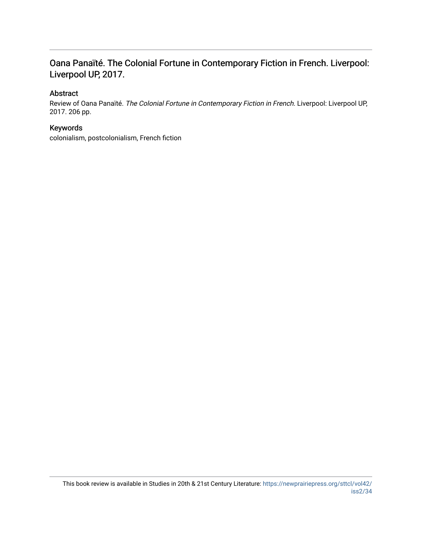### Oana Panaïté. The Colonial Fortune in Contemporary Fiction in French. Liverpool: Liverpool UP, 2017.

### Abstract

Review of Oana Panaïté. The Colonial Fortune in Contemporary Fiction in French. Liverpool: Liverpool UP, 2017. 206 pp.

#### Keywords

colonialism, postcolonialism, French fiction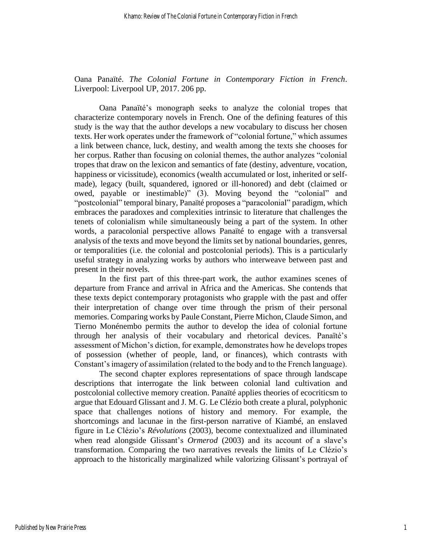Oana Panaïté. *The Colonial Fortune in Contemporary Fiction in French*. Liverpool: Liverpool UP, 2017. 206 pp.

Oana Panaïté's monograph seeks to analyze the colonial tropes that characterize contemporary novels in French. One of the defining features of this study is the way that the author develops a new vocabulary to discuss her chosen texts. Her work operates under the framework of "colonial fortune," which assumes a link between chance, luck, destiny, and wealth among the texts she chooses for her corpus. Rather than focusing on colonial themes, the author analyzes "colonial tropes that draw on the lexicon and semantics of fate (destiny, adventure, vocation, happiness or vicissitude), economics (wealth accumulated or lost, inherited or selfmade), legacy (built, squandered, ignored or ill-honored) and debt (claimed or owed, payable or inestimable)" (3). Moving beyond the "colonial" and "postcolonial" temporal binary, Panaïté proposes a "paracolonial" paradigm, which embraces the paradoxes and complexities intrinsic to literature that challenges the tenets of colonialism while simultaneously being a part of the system. In other words, a paracolonial perspective allows Panaïté to engage with a transversal analysis of the texts and move beyond the limits set by national boundaries, genres, or temporalities (i.e. the colonial and postcolonial periods). This is a particularly useful strategy in analyzing works by authors who interweave between past and present in their novels.

In the first part of this three-part work, the author examines scenes of departure from France and arrival in Africa and the Americas. She contends that these texts depict contemporary protagonists who grapple with the past and offer their interpretation of change over time through the prism of their personal memories. Comparing works by Paule Constant, Pierre Michon, Claude Simon, and Tierno Monénembo permits the author to develop the idea of colonial fortune through her analysis of their vocabulary and rhetorical devices. Panaïté's assessment of Michon's diction, for example, demonstrates how he develops tropes of possession (whether of people, land, or finances), which contrasts with Constant's imagery of assimilation (related to the body and to the French language).

The second chapter explores representations of space through landscape descriptions that interrogate the link between colonial land cultivation and postcolonial collective memory creation. Panaïté applies theories of ecocriticsm to argue that Edouard Glissant and J. M. G. Le Clézio both create a plural, polyphonic space that challenges notions of history and memory. For example, the shortcomings and lacunae in the first-person narrative of Kiambé, an enslaved figure in Le Clézio's *Révolutions* (2003), become contextualized and illuminated when read alongside Glissant's *Ormerod* (2003) and its account of a slave's transformation. Comparing the two narratives reveals the limits of Le Clézio's approach to the historically marginalized while valorizing Glissant's portrayal of